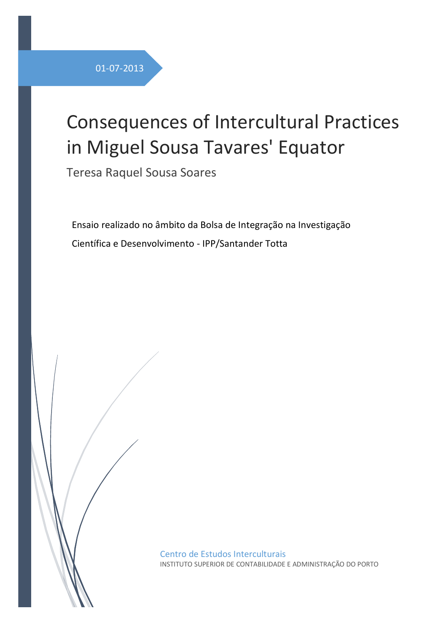# Consequences of Intercultural Practices in Miguel Sousa Tavares' Equator

Teresa Raquel Sousa Soares

Ensaio realizado no âmbito da Bolsa de Integração na Investigação Científica e Desenvolvimento - IPP/Santander Totta

> Centro de Estudos Interculturais INSTITUTO SUPERIOR DE CONTABILIDADE E ADMINISTRAÇÃO DO PORTO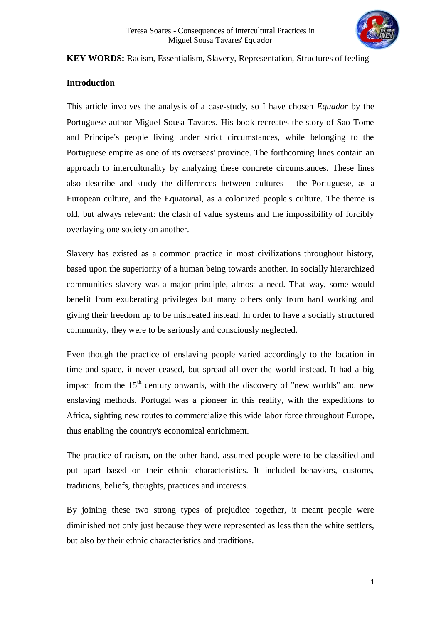

#### **KEY WORDS:** Racism, Essentialism, Slavery, Representation, Structures of feeling

#### **Introduction**

This article involves the analysis of a case-study, so I have chosen *Equador* by the Portuguese author Miguel Sousa Tavares. His book recreates the story of Sao Tome and Principe's people living under strict circumstances, while belonging to the Portuguese empire as one of its overseas' province. The forthcoming lines contain an approach to interculturality by analyzing these concrete circumstances. These lines also describe and study the differences between cultures - the Portuguese, as a European culture, and the Equatorial, as a colonized people's culture. The theme is old, but always relevant: the clash of value systems and the impossibility of forcibly overlaying one society on another.

Slavery has existed as a common practice in most civilizations throughout history, based upon the superiority of a human being towards another. In socially hierarchized communities slavery was a major principle, almost a need. That way, some would benefit from exuberating privileges but many others only from hard working and giving their freedom up to be mistreated instead. In order to have a socially structured community, they were to be seriously and consciously neglected.

Even though the practice of enslaving people varied accordingly to the location in time and space, it never ceased, but spread all over the world instead. It had a big impact from the  $15<sup>th</sup>$  century onwards, with the discovery of "new worlds" and new enslaving methods. Portugal was a pioneer in this reality, with the expeditions to Africa, sighting new routes to commercialize this wide labor force throughout Europe, thus enabling the country's economical enrichment.

The practice of racism, on the other hand, assumed people were to be classified and put apart based on their ethnic characteristics. It included behaviors, customs, traditions, beliefs, thoughts, practices and interests.

By joining these two strong types of prejudice together, it meant people were diminished not only just because they were represented as less than the white settlers, but also by their ethnic characteristics and traditions.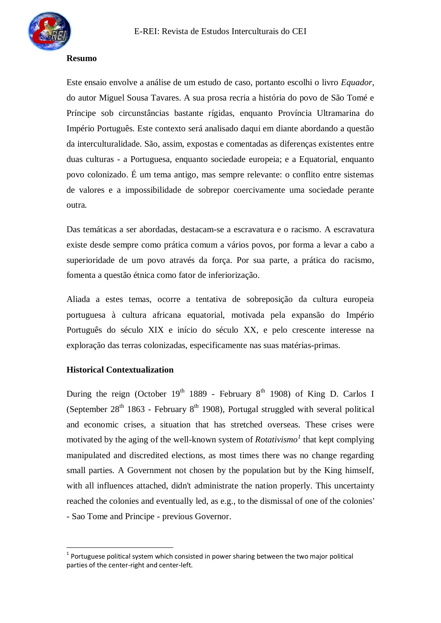

## **Resumo**

Este ensaio envolve a análise de um estudo de caso, portanto escolhi o livro *Equador,* do autor Miguel Sousa Tavares. A sua prosa recria a história do povo de São Tomé e Príncipe sob circunstâncias bastante rígidas, enquanto Província Ultramarina do Império Português. Este contexto será analisado daqui em diante abordando a questão da interculturalidade. São, assim, expostas e comentadas as diferenças existentes entre duas culturas - a Portuguesa, enquanto sociedade europeia; e a Equatorial, enquanto povo colonizado. É um tema antigo, mas sempre relevante: o conflito entre sistemas de valores e a impossibilidade de sobrepor coercivamente uma sociedade perante outra.

Das temáticas a ser abordadas, destacam-se a escravatura e o racismo. A escravatura existe desde sempre como prática comum a vários povos, por forma a levar a cabo a superioridade de um povo através da força. Por sua parte, a prática do racismo, fomenta a questão étnica como fator de inferiorização.

Aliada a estes temas, ocorre a tentativa de sobreposição da cultura europeia portuguesa à cultura africana equatorial, motivada pela expansão do Império Português do século XIX e início do século XX, e pelo crescente interesse na exploração das terras colonizadas, especificamente nas suas matérias-primas.

## **Historical Contextualization**

 $\overline{a}$ 

During the reign (October  $19<sup>th</sup> 1889$  - February  $8<sup>th</sup> 1908$ ) of King D. Carlos I (September  $28<sup>th</sup> 1863$  - February  $8<sup>th</sup> 1908$ ), Portugal struggled with several political and economic crises, a situation that has stretched overseas. These crises were motivated by the aging of the well-known system of *Rotativismo<sup>1</sup>* that kept complying manipulated and discredited elections, as most times there was no change regarding small parties. A Government not chosen by the population but by the King himself, with all influences attached, didn't administrate the nation properly. This uncertainty reached the colonies and eventually led, as e.g., to the dismissal of one of the colonies' - Sao Tome and Principe - previous Governor.

 $1$  Portuguese political system which consisted in power sharing between the two major political parties of the center-right and center-left.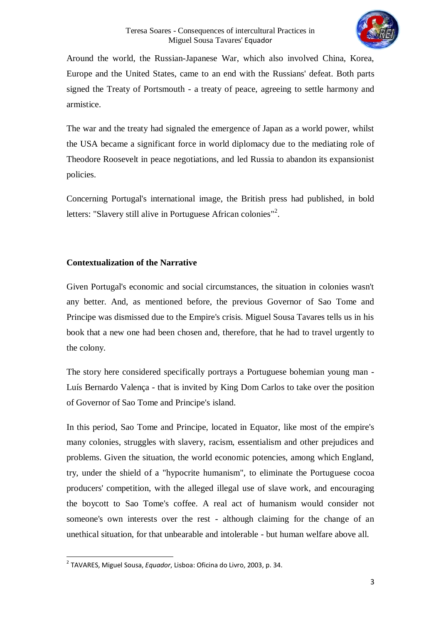

Around the world, the Russian-Japanese War, which also involved China, Korea, Europe and the United States, came to an end with the Russians' defeat. Both parts signed the Treaty of Portsmouth - a treaty of peace, agreeing to settle harmony and armistice.

The war and the treaty had signaled the emergence of Japan as a world power, whilst the USA became a significant force in world diplomacy due to the mediating role of Theodore Roosevelt in peace negotiations, and led Russia to abandon its expansionist policies.

Concerning Portugal's international image, the British press had published, in bold letters: "Slavery still alive in Portuguese African colonies"<sup>2</sup>.

# **Contextualization of the Narrative**

Given Portugal's economic and social circumstances, the situation in colonies wasn't any better. And, as mentioned before, the previous Governor of Sao Tome and Principe was dismissed due to the Empire's crisis. Miguel Sousa Tavares tells us in his book that a new one had been chosen and, therefore, that he had to travel urgently to the colony.

The story here considered specifically portrays a Portuguese bohemian young man - Luís Bernardo Valença - that is invited by King Dom Carlos to take over the position of Governor of Sao Tome and Principe's island.

In this period, Sao Tome and Principe, located in Equator, like most of the empire's many colonies, struggles with slavery, racism, essentialism and other prejudices and problems. Given the situation, the world economic potencies, among which England, try, under the shield of a "hypocrite humanism", to eliminate the Portuguese cocoa producers' competition, with the alleged illegal use of slave work, and encouraging the boycott to Sao Tome's coffee. A real act of humanism would consider not someone's own interests over the rest - although claiming for the change of an unethical situation, for that unbearable and intolerable - but human welfare above all.

 $\overline{\phantom{a}}$ 2 TAVARES, Miguel Sousa, *Equador*, Lisboa: Oficina do Livro, 2003, p. 34.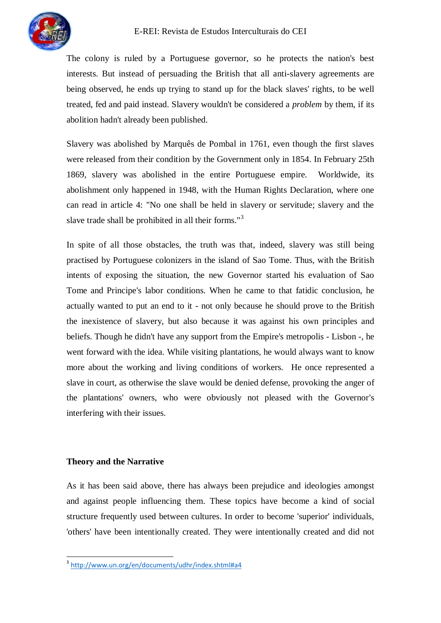

The colony is ruled by a Portuguese governor, so he protects the nation's best interests. But instead of persuading the British that all anti-slavery agreements are being observed, he ends up trying to stand up for the black slaves' rights, to be well treated, fed and paid instead. Slavery wouldn't be considered a *problem* by them, if its abolition hadn't already been published.

Slavery was abolished by Marquês de Pombal in 1761, even though the first slaves were released from their condition by the Government only in 1854. In February 25th 1869, slavery was abolished in the entire Portuguese empire. Worldwide, its abolishment only happened in 1948, with the Human Rights Declaration, where one can read in article 4: "No one shall be held in slavery or servitude; slavery and the slave trade shall be prohibited in all their forms."<sup>3</sup>

In spite of all those obstacles, the truth was that, indeed, slavery was still being practised by Portuguese colonizers in the island of Sao Tome. Thus, with the British intents of exposing the situation, the new Governor started his evaluation of Sao Tome and Principe's labor conditions. When he came to that fatidic conclusion, he actually wanted to put an end to it - not only because he should prove to the British the inexistence of slavery, but also because it was against his own principles and beliefs. Though he didn't have any support from the Empire's metropolis - Lisbon -, he went forward with the idea. While visiting plantations, he would always want to know more about the working and living conditions of workers. He once represented a slave in court, as otherwise the slave would be denied defense, provoking the anger of the plantations' owners, who were obviously not pleased with the Governor's interfering with their issues.

# **Theory and the Narrative**

As it has been said above, there has always been prejudice and ideologies amongst and against people influencing them. These topics have become a kind of social structure frequently used between cultures. In order to become 'superior' individuals, 'others' have been intentionally created. They were intentionally created and did not

<sup>&</sup>lt;sup>3</sup> <http://www.un.org/en/documents/udhr/index.shtml#a4>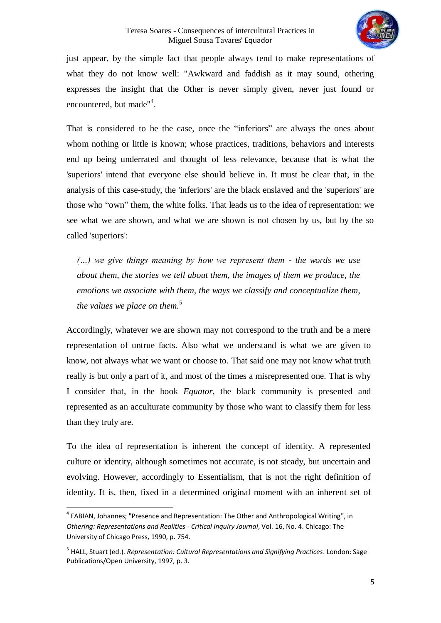#### Teresa Soares - Consequences of intercultural Practices in Miguel Sousa Tavares' Equador



just appear, by the simple fact that people always tend to make representations of what they do not know well: "Awkward and faddish as it may sound, othering expresses the insight that the Other is never simply given, never just found or encountered, but made"<sup>4</sup>.

That is considered to be the case, once the "inferiors" are always the ones about whom nothing or little is known; whose practices, traditions, behaviors and interests end up being underrated and thought of less relevance, because that is what the 'superiors' intend that everyone else should believe in. It must be clear that, in the analysis of this case-study, the 'inferiors' are the black enslaved and the 'superiors' are those who "own" them, the white folks. That leads us to the idea of representation: we see what we are shown, and what we are shown is not chosen by us, but by the so called 'superiors':

*(…) we give things meaning by how we represent them - the words we use about them, the stories we tell about them, the images of them we produce, the emotions we associate with them, the ways we classify and conceptualize them, the values we place on them.* 5

Accordingly, whatever we are shown may not correspond to the truth and be a mere representation of untrue facts. Also what we understand is what we are given to know, not always what we want or choose to. That said one may not know what truth really is but only a part of it, and most of the times a misrepresented one. That is why I consider that, in the book *Equator*, the black community is presented and represented as an acculturate community by those who want to classify them for less than they truly are.

To the idea of representation is inherent the concept of identity. A represented culture or identity, although sometimes not accurate, is not steady, but uncertain and evolving. However, accordingly to Essentialism, that is not the right definition of identity. It is, then, fixed in a determined original moment with an inherent set of

 $\overline{a}$ 

<sup>&</sup>lt;sup>4</sup> FABIAN, Johannes; "Presence and Representation: The Other and Anthropological Writing", in *Othering: Representations and Realities* - *Critical Inquiry Journal*, Vol. 16, No. 4. Chicago: The University of Chicago Press, 1990, p. 754.

<sup>5</sup> HALL, Stuart (ed.). *Representation: Cultural Representations and Signifying Practices*. London: Sage Publications/Open University, 1997, p. 3.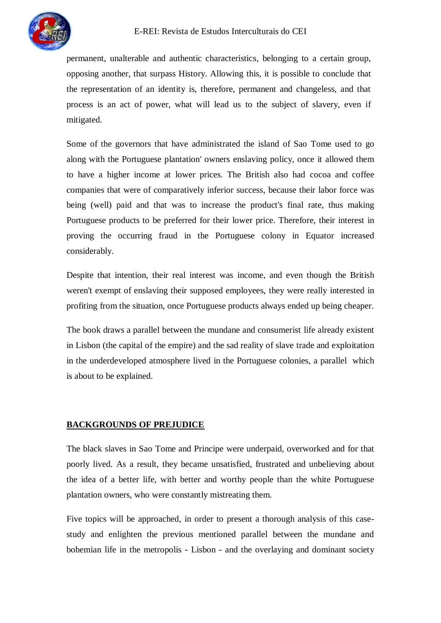permanent, unalterable and authentic characteristics, belonging to a certain group, opposing another, that surpass History. Allowing this, it is possible to conclude that the representation of an identity is, therefore, permanent and changeless, and that process is an act of power, what will lead us to the subject of slavery, even if mitigated.

Some of the governors that have administrated the island of Sao Tome used to go along with the Portuguese plantation' owners enslaving policy, once it allowed them to have a higher income at lower prices. The British also had cocoa and coffee companies that were of comparatively inferior success, because their labor force was being (well) paid and that was to increase the product's final rate, thus making Portuguese products to be preferred for their lower price. Therefore, their interest in proving the occurring fraud in the Portuguese colony in Equator increased considerably.

Despite that intention, their real interest was income, and even though the British weren't exempt of enslaving their supposed employees, they were really interested in profiting from the situation, once Portuguese products always ended up being cheaper.

The book draws a parallel between the mundane and consumerist life already existent in Lisbon (the capital of the empire) and the sad reality of slave trade and exploitation in the underdeveloped atmosphere lived in the Portuguese colonies, a parallel which is about to be explained.

# **BACKGROUNDS OF PREJUDICE**

The black slaves in Sao Tome and Principe were underpaid, overworked and for that poorly lived. As a result, they became unsatisfied, frustrated and unbelieving about the idea of a better life, with better and worthy people than the white Portuguese plantation owners, who were constantly mistreating them.

Five topics will be approached, in order to present a thorough analysis of this casestudy and enlighten the previous mentioned parallel between the mundane and bohemian life in the metropolis - Lisbon - and the overlaying and dominant society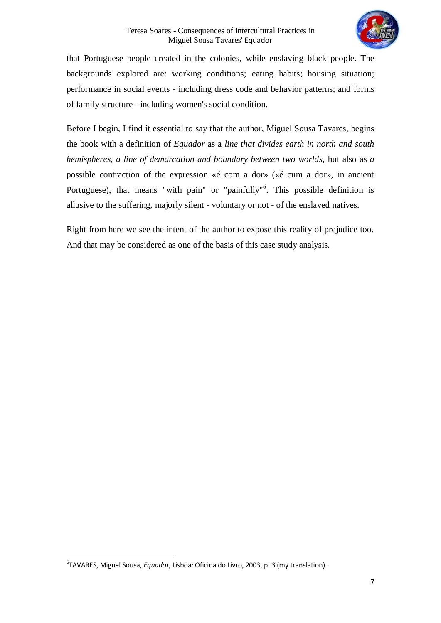

that Portuguese people created in the colonies, while enslaving black people. The backgrounds explored are: working conditions; eating habits; housing situation; performance in social events - including dress code and behavior patterns; and forms of family structure - including women's social condition.

Before I begin, I find it essential to say that the author, Miguel Sousa Tavares, begins the book with a definition of *Equador* as a *line that divides earth in north and south hemispheres, a line of demarcation and boundary between two worlds,* but also as *a*  possible contraction of the expression «é com a dor» («é cum a dor», in ancient Portuguese), that means "with pain" or "painfully"<sup>6</sup>. This possible definition is allusive to the suffering, majorly silent - voluntary or not - of the enslaved natives.

Right from here we see the intent of the author to expose this reality of prejudice too. And that may be considered as one of the basis of this case study analysis.

 $\overline{\phantom{a}}$ 

<sup>6</sup> TAVARES, Miguel Sousa, *Equador*, Lisboa: Oficina do Livro, 2003, p. 3 (my translation).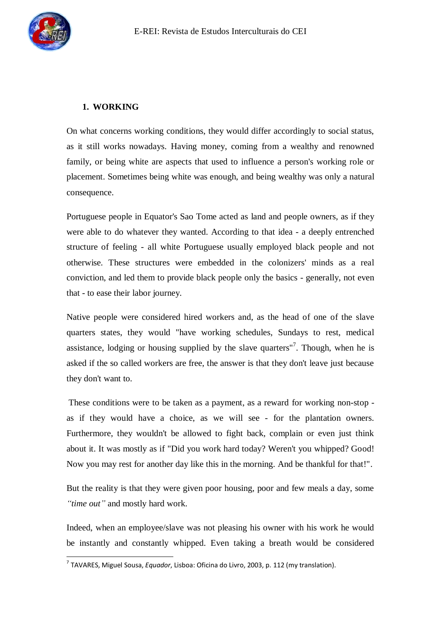

# **1. WORKING**

On what concerns working conditions, they would differ accordingly to social status, as it still works nowadays. Having money, coming from a wealthy and renowned family, or being white are aspects that used to influence a person's working role or placement. Sometimes being white was enough, and being wealthy was only a natural consequence.

Portuguese people in Equator's Sao Tome acted as land and people owners, as if they were able to do whatever they wanted. According to that idea - a deeply entrenched structure of feeling - all white Portuguese usually employed black people and not otherwise. These structures were embedded in the colonizers' minds as a real conviction, and led them to provide black people only the basics - generally, not even that - to ease their labor journey.

Native people were considered hired workers and, as the head of one of the slave quarters states, they would "have working schedules, Sundays to rest, medical assistance, lodging or housing supplied by the slave quarters"<sup>7</sup>. Though, when he is asked if the so called workers are free, the answer is that they don't leave just because they don't want to.

These conditions were to be taken as a payment, as a reward for working non-stop as if they would have a choice, as we will see - for the plantation owners. Furthermore, they wouldn't be allowed to fight back, complain or even just think about it. It was mostly as if "Did you work hard today? Weren't you whipped? Good! Now you may rest for another day like this in the morning. And be thankful for that!".

But the reality is that they were given poor housing, poor and few meals a day, some *"time out"* and mostly hard work.

Indeed, when an employee/slave was not pleasing his owner with his work he would be instantly and constantly whipped. Even taking a breath would be considered

 7 TAVARES, Miguel Sousa, *Equador*, Lisboa: Oficina do Livro, 2003, p. 112 (my translation).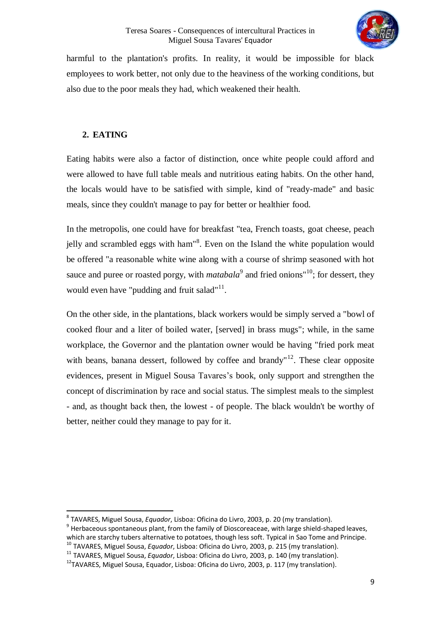

harmful to the plantation's profits. In reality, it would be impossible for black employees to work better, not only due to the heaviness of the working conditions, but also due to the poor meals they had, which weakened their health.

# **2. EATING**

 $\overline{\phantom{a}}$ 

Eating habits were also a factor of distinction, once white people could afford and were allowed to have full table meals and nutritious eating habits. On the other hand, the locals would have to be satisfied with simple, kind of "ready-made" and basic meals, since they couldn't manage to pay for better or healthier food.

In the metropolis, one could have for breakfast "tea, French toasts, goat cheese, peach jelly and scrambled eggs with ham<sup>18</sup>. Even on the Island the white population would be offered "a reasonable white wine along with a course of shrimp seasoned with hot sauce and puree or roasted porgy, with *matabala*<sup>9</sup> and fried onions<sup>"10</sup>; for dessert, they would even have "pudding and fruit salad"<sup>11</sup>.

On the other side, in the plantations, black workers would be simply served a "bowl of cooked flour and a liter of boiled water, [served] in brass mugs"; while, in the same workplace, the Governor and the plantation owner would be having "fried pork meat with beans, banana dessert, followed by coffee and brandy"<sup>12</sup>. These clear opposite evidences, present in Miguel Sousa Tavares's book, only support and strengthen the concept of discrimination by race and social status. The simplest meals to the simplest - and, as thought back then, the lowest - of people. The black wouldn't be worthy of better, neither could they manage to pay for it.

<sup>8</sup> TAVARES, Miguel Sousa, *Equador*, Lisboa: Oficina do Livro, 2003, p. 20 (my translation).

 $^9$  Herbaceous spontaneous plant, from the family of Dioscoreaceae, with large shield-shaped leaves, which are starchy tubers alternative to potatoes, though less soft. Typical in Sao Tome and Principe.

<sup>10</sup> TAVARES, Miguel Sousa, *Equador*, Lisboa: Oficina do Livro, 2003, p. 215 (my translation). <sup>11</sup> TAVARES, Miguel Sousa, *Equador*, Lisboa: Oficina do Livro, 2003, p. 140 (my translation).

<sup>&</sup>lt;sup>12</sup>TAVARES, Miguel Sousa, Equador, Lisboa: Oficina do Livro, 2003, p. 117 (my translation).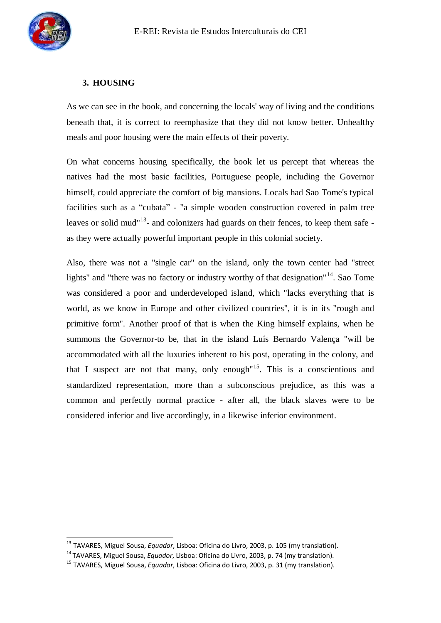

 $\overline{a}$ 

# **3. HOUSING**

As we can see in the book, and concerning the locals' way of living and the conditions beneath that, it is correct to reemphasize that they did not know better. Unhealthy meals and poor housing were the main effects of their poverty.

On what concerns housing specifically, the book let us percept that whereas the natives had the most basic facilities, Portuguese people, including the Governor himself, could appreciate the comfort of big mansions. Locals had Sao Tome's typical facilities such as a "cubata" - "a simple wooden construction covered in palm tree leaves or solid mud<sup>"13</sup>- and colonizers had guards on their fences, to keep them safe as they were actually powerful important people in this colonial society.

Also, there was not a "single car" on the island, only the town center had "street lights" and "there was no factory or industry worthy of that designation"<sup>14</sup>. Sao Tome was considered a poor and underdeveloped island, which "lacks everything that is world, as we know in Europe and other civilized countries", it is in its "rough and primitive form". Another proof of that is when the King himself explains, when he summons the Governor-to be, that in the island Luís Bernardo Valença "will be accommodated with all the luxuries inherent to his post, operating in the colony, and that I suspect are not that many, only enough"<sup>15</sup>. This is a conscientious and standardized representation, more than a subconscious prejudice, as this was a common and perfectly normal practice - after all, the black slaves were to be considered inferior and live accordingly, in a likewise inferior environment.

<sup>13</sup> TAVARES, Miguel Sousa, *Equador*, Lisboa: Oficina do Livro, 2003, p. 105 (my translation).

<sup>14</sup> TAVARES, Miguel Sousa, *Equador*, Lisboa: Oficina do Livro, 2003, p. 74 (my translation).

<sup>15</sup> TAVARES, Miguel Sousa, *Equador*, Lisboa: Oficina do Livro, 2003, p. 31 (my translation).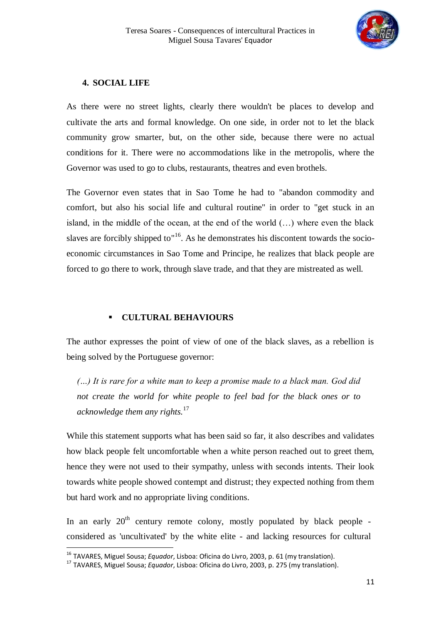

## **4. SOCIAL LIFE**

As there were no street lights, clearly there wouldn't be places to develop and cultivate the arts and formal knowledge. On one side, in order not to let the black community grow smarter, but, on the other side, because there were no actual conditions for it. There were no accommodations like in the metropolis, where the Governor was used to go to clubs, restaurants, theatres and even brothels.

The Governor even states that in Sao Tome he had to "abandon commodity and comfort, but also his social life and cultural routine" in order to "get stuck in an island, in the middle of the ocean, at the end of the world (…) where even the black slaves are forcibly shipped to  $16$ . As he demonstrates his discontent towards the socioeconomic circumstances in Sao Tome and Principe, he realizes that black people are forced to go there to work, through slave trade, and that they are mistreated as well.

## **CULTURAL BEHAVIOURS**

The author expresses the point of view of one of the black slaves, as a rebellion is being solved by the Portuguese governor:

*(…) It is rare for a white man to keep a promise made to a black man. God did not create the world for white people to feel bad for the black ones or to acknowledge them any rights.*<sup>17</sup>

While this statement supports what has been said so far, it also describes and validates how black people felt uncomfortable when a white person reached out to greet them, hence they were not used to their sympathy, unless with seconds intents. Their look towards white people showed contempt and distrust; they expected nothing from them but hard work and no appropriate living conditions.

In an early  $20<sup>th</sup>$  century remote colony, mostly populated by black people considered as 'uncultivated' by the white elite - and lacking resources for cultural

 $\overline{a}$ 

<sup>16</sup> TAVARES, Miguel Sousa; *Equador*, Lisboa: Oficina do Livro, 2003, p. 61 (my translation).

<sup>17</sup> TAVARES, Miguel Sousa; *Equador*, Lisboa: Oficina do Livro, 2003, p. 275 (my translation).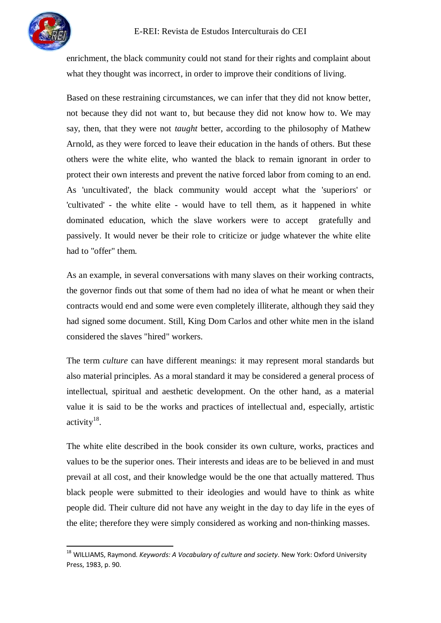$\overline{a}$ 

enrichment, the black community could not stand for their rights and complaint about what they thought was incorrect, in order to improve their conditions of living.

Based on these restraining circumstances, we can infer that they did not know better, not because they did not want to, but because they did not know how to. We may say, then, that they were not *taught* better, according to the philosophy of Mathew Arnold, as they were forced to leave their education in the hands of others. But these others were the white elite, who wanted the black to remain ignorant in order to protect their own interests and prevent the native forced labor from coming to an end. As 'uncultivated', the black community would accept what the 'superiors' or 'cultivated' - the white elite - would have to tell them, as it happened in white dominated education, which the slave workers were to accept gratefully and passively. It would never be their role to criticize or judge whatever the white elite had to "offer" them.

As an example, in several conversations with many slaves on their working contracts, the governor finds out that some of them had no idea of what he meant or when their contracts would end and some were even completely illiterate, although they said they had signed some document. Still, King Dom Carlos and other white men in the island considered the slaves "hired" workers.

The term *culture* can have different meanings: it may represent moral standards but also material principles. As a moral standard it may be considered a general process of intellectual, spiritual and aesthetic development. On the other hand, as a material value it is said to be the works and practices of intellectual and, especially, artistic activity $^{18}$ .

The white elite described in the book consider its own culture, works, practices and values to be the superior ones. Their interests and ideas are to be believed in and must prevail at all cost, and their knowledge would be the one that actually mattered. Thus black people were submitted to their ideologies and would have to think as white people did. Their culture did not have any weight in the day to day life in the eyes of the elite; therefore they were simply considered as working and non-thinking masses.

<sup>18</sup> WILLIAMS, Raymond. *Keywords: A Vocabulary of culture and society*. New York: Oxford University Press, 1983, p. 90.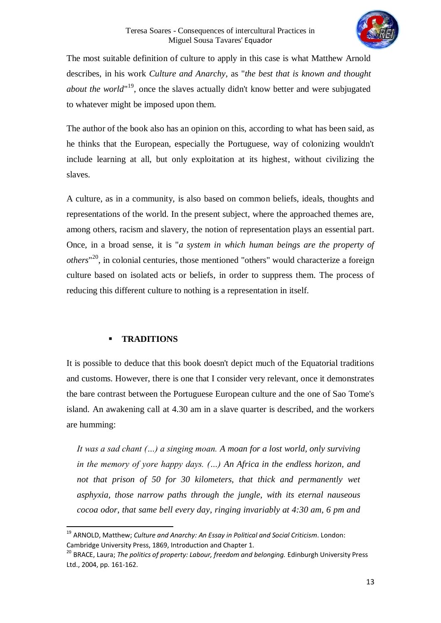

The most suitable definition of culture to apply in this case is what Matthew Arnold describes, in his work *Culture and Anarchy*, as "*the best that is known and thought about the world*" <sup>19</sup>, once the slaves actually didn't know better and were subjugated to whatever might be imposed upon them.

The author of the book also has an opinion on this, according to what has been said, as he thinks that the European, especially the Portuguese, way of colonizing wouldn't include learning at all, but only exploitation at its highest, without civilizing the slaves.

A culture, as in a community, is also based on common beliefs, ideals, thoughts and representations of the world. In the present subject, where the approached themes are, among others, racism and slavery, the notion of representation plays an essential part. Once, in a broad sense, it is "*a system in which human beings are the property of others*" <sup>20</sup>, in colonial centuries, those mentioned "others" would characterize a foreign culture based on isolated acts or beliefs, in order to suppress them. The process of reducing this different culture to nothing is a representation in itself.

# **TRADITIONS**

 $\overline{\phantom{a}}$ 

It is possible to deduce that this book doesn't depict much of the Equatorial traditions and customs. However, there is one that I consider very relevant, once it demonstrates the bare contrast between the Portuguese European culture and the one of Sao Tome's island. An awakening call at 4.30 am in a slave quarter is described, and the workers are humming:

*It was a sad chant (…) a singing moan. A moan for a lost world, only surviving in the memory of yore happy days. (…) An Africa in the endless horizon, and not that prison of 50 for 30 kilometers, that thick and permanently wet asphyxia, those narrow paths through the jungle, with its eternal nauseous cocoa odor, that same bell every day, ringing invariably at 4:30 am, 6 pm and* 

<sup>19</sup> ARNOLD, Matthew; *Culture and Anarchy: An Essay in Political and Social Criticism*. London: Cambridge University Press, 1869, Introduction and Chapter 1.

<sup>20</sup> BRACE, Laura; *The politics of property: Labour, freedom and belonging.* Edinburgh University Press Ltd., 2004, pp. 161-162.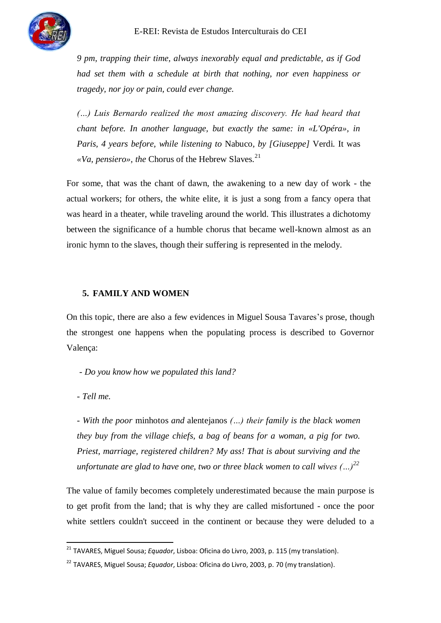

*9 pm, trapping their time, always inexorably equal and predictable, as if God had set them with a schedule at birth that nothing, nor even happiness or tragedy, nor joy or pain, could ever change.*

*(…) Luis Bernardo realized the most amazing discovery. He had heard that chant before. In another language, but exactly the same: in «L'Opéra», in Paris, 4 years before, while listening to* Nabuco*, by [Giuseppe]* Verdi. It was «*Va, pensiero», the Chorus of the Hebrew Slaves.*<sup>21</sup>

For some, that was the chant of dawn, the awakening to a new day of work - the actual workers; for others, the white elite, it is just a song from a fancy opera that was heard in a theater, while traveling around the world. This illustrates a dichotomy between the significance of a humble chorus that became well-known almost as an ironic hymn to the slaves, though their suffering is represented in the melody.

# **5. FAMILY AND WOMEN**

On this topic, there are also a few evidences in Miguel Sousa Tavares's prose, though the strongest one happens when the populating process is described to Governor Valença:

*- Do you know how we populated this land?*

*- Tell me.*

 $\overline{\phantom{a}}$ 

*- With the poor* minhotos *and* alentejanos *(…) their family is the black women they buy from the village chiefs, a bag of beans for a woman, a pig for two. Priest, marriage, registered children? My ass! That is about surviving and the unfortunate are glad to have one, two or three black women to call wives (…)<sup>22</sup>*

The value of family becomes completely underestimated because the main purpose is to get profit from the land; that is why they are called misfortuned - once the poor white settlers couldn't succeed in the continent or because they were deluded to a

<sup>21</sup> TAVARES, Miguel Sousa; *Equador*, Lisboa: Oficina do Livro, 2003, p. 115 (my translation).

<sup>22</sup> TAVARES, Miguel Sousa; *Equador*, Lisboa: Oficina do Livro, 2003, p. 70 (my translation).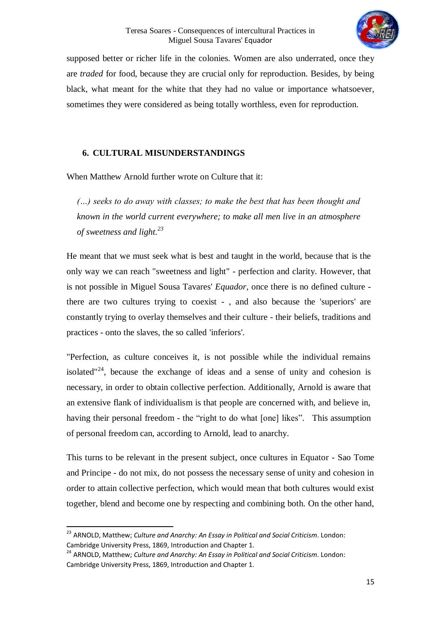

supposed better or richer life in the colonies. Women are also underrated, once they are *traded* for food, because they are crucial only for reproduction. Besides, by being black, what meant for the white that they had no value or importance whatsoever, sometimes they were considered as being totally worthless, even for reproduction.

# **6. CULTURAL MISUNDERSTANDINGS**

When Matthew Arnold further wrote on Culture that it:

*(…) seeks to do away with classes; to make the best that has been thought and known in the world current everywhere; to make all men live in an atmosphere of sweetness and light.<sup>23</sup>*

He meant that we must seek what is best and taught in the world, because that is the only way we can reach "sweetness and light" - perfection and clarity. However, that is not possible in Miguel Sousa Tavares' *Equador,* once there is no defined culture there are two cultures trying to coexist - , and also because the 'superiors' are constantly trying to overlay themselves and their culture - their beliefs, traditions and practices - onto the slaves, the so called 'inferiors'.

"Perfection, as culture conceives it, is not possible while the individual remains isolated"<sup>24</sup>, because the exchange of ideas and a sense of unity and cohesion is necessary, in order to obtain collective perfection. Additionally, Arnold is aware that an extensive flank of individualism is that people are concerned with, and believe in, having their personal freedom - the "right to do what [one] likes". This assumption of personal freedom can, according to Arnold, lead to anarchy.

This turns to be relevant in the present subject, once cultures in Equator - Sao Tome and Principe - do not mix, do not possess the necessary sense of unity and cohesion in order to attain collective perfection, which would mean that both cultures would exist together, blend and become one by respecting and combining both. On the other hand,

 $\overline{\phantom{a}}$ 

<sup>23</sup> ARNOLD, Matthew; *Culture and Anarchy: An Essay in Political and Social Criticism*. London: Cambridge University Press, 1869, Introduction and Chapter 1.

<sup>24</sup> ARNOLD, Matthew; *Culture and Anarchy: An Essay in Political and Social Criticism*. London: Cambridge University Press, 1869, Introduction and Chapter 1.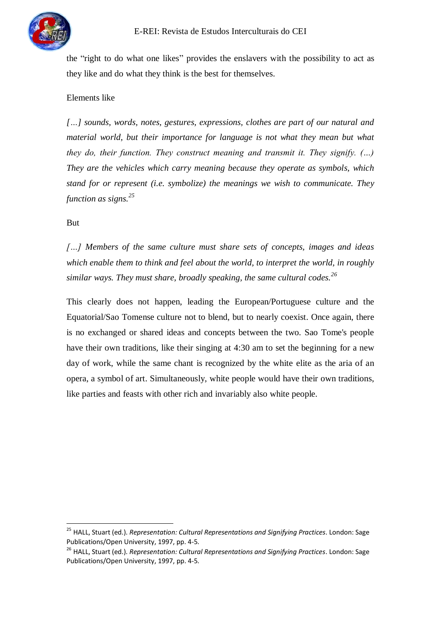

the "right to do what one likes" provides the enslavers with the possibility to act as they like and do what they think is the best for themselves.

# Elements like

*[…] sounds, words, notes, gestures, expressions, clothes are part of our natural and material world, but their importance for language is not what they mean but what they do, their function. They construct meaning and transmit it. They signify. (…) They are the vehicles which carry meaning because they operate as symbols, which stand for or represent (i.e. symbolize) the meanings we wish to communicate. They function as signs.<sup>25</sup>*

# But

 $\overline{\phantom{a}}$ 

*[…] Members of the same culture must share sets of concepts, images and ideas which enable them to think and feel about the world, to interpret the world, in roughly similar ways. They must share, broadly speaking, the same cultural codes.<sup>26</sup>*

This clearly does not happen, leading the European/Portuguese culture and the Equatorial/Sao Tomense culture not to blend, but to nearly coexist. Once again, there is no exchanged or shared ideas and concepts between the two. Sao Tome's people have their own traditions, like their singing at 4:30 am to set the beginning for a new day of work, while the same chant is recognized by the white elite as the aria of an opera, a symbol of art. Simultaneously, white people would have their own traditions, like parties and feasts with other rich and invariably also white people.

<sup>25</sup> HALL, Stuart (ed.). *Representation: Cultural Representations and Signifying Practices*. London: Sage Publications/Open University, 1997, pp. 4-5.

<sup>26</sup> HALL, Stuart (ed.). *Representation: Cultural Representations and Signifying Practices*. London: Sage Publications/Open University, 1997, pp. 4-5.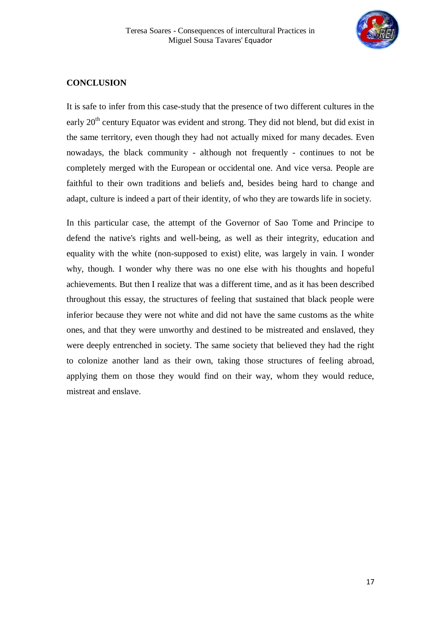

## **CONCLUSION**

It is safe to infer from this case-study that the presence of two different cultures in the early 20<sup>th</sup> century Equator was evident and strong. They did not blend, but did exist in the same territory, even though they had not actually mixed for many decades. Even nowadays, the black community - although not frequently - continues to not be completely merged with the European or occidental one. And vice versa. People are faithful to their own traditions and beliefs and, besides being hard to change and adapt, culture is indeed a part of their identity, of who they are towards life in society.

In this particular case, the attempt of the Governor of Sao Tome and Principe to defend the native's rights and well-being, as well as their integrity, education and equality with the white (non-supposed to exist) elite, was largely in vain. I wonder why, though. I wonder why there was no one else with his thoughts and hopeful achievements. But then I realize that was a different time, and as it has been described throughout this essay, the structures of feeling that sustained that black people were inferior because they were not white and did not have the same customs as the white ones, and that they were unworthy and destined to be mistreated and enslaved, they were deeply entrenched in society. The same society that believed they had the right to colonize another land as their own, taking those structures of feeling abroad, applying them on those they would find on their way, whom they would reduce, mistreat and enslave.